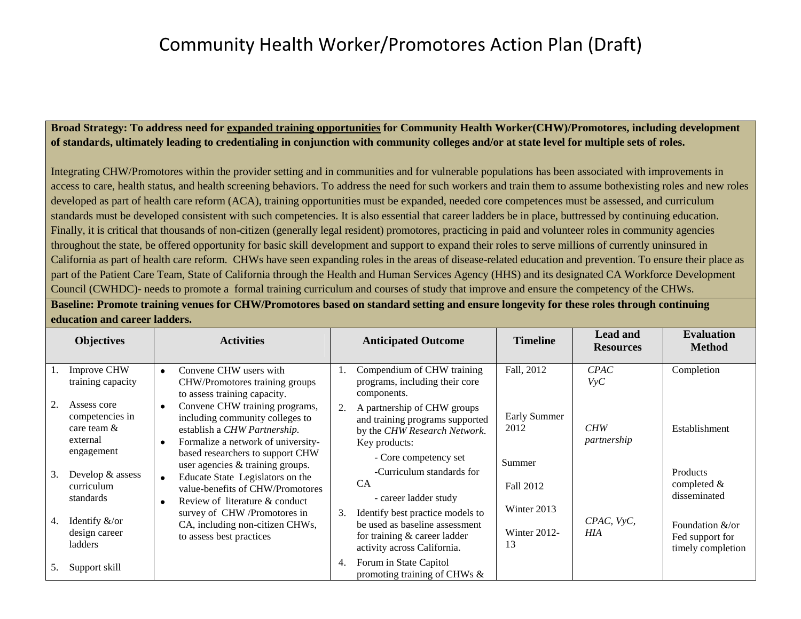#### **Broad Strategy: To address need for expanded training opportunities for Community Health Worker(CHW)/Promotores, including development of standards, ultimately leading to credentialing in conjunction with community colleges and/or at state level for multiple sets of roles.**

Integrating CHW/Promotores within the provider setting and in communities and for vulnerable populations has been associated with improvements in access to care, health status, and health screening behaviors. To address the need for such workers and train them to assume bothexisting roles and new roles developed as part of health care reform (ACA), training opportunities must be expanded, needed core competences must be assessed, and curriculum standards must be developed consistent with such competencies. It is also essential that career ladders be in place, buttressed by continuing education. Finally, it is critical that thousands of non-citizen (generally legal resident) promotores, practicing in paid and volunteer roles in community agencies throughout the state, be offered opportunity for basic skill development and support to expand their roles to serve millions of currently uninsured in California as part of health care reform. CHWs have seen expanding roles in the areas of disease-related education and prevention. To ensure their place as part of the Patient Care Team, State of California through the Health and Human Services Agency (HHS) and its designated CA Workforce Development Council (CWHDC)- needs to promote a formal training curriculum and courses of study that improve and ensure the competency of the CHWs.

**Baseline: Promote training venues for CHW/Promotores based on standard setting and ensure longevity for these roles through continuing education and career ladders.** 

|          | <b>Objectives</b>                                                                                 | <b>Activities</b>                                                                                                                                                                                                                         |    | <b>Anticipated Outcome</b>                                                                                                                                                                             | <b>Timeline</b>                                   | <b>Lead and</b><br><b>Resources</b> | <b>Evaluation</b><br><b>Method</b>                                                                    |
|----------|---------------------------------------------------------------------------------------------------|-------------------------------------------------------------------------------------------------------------------------------------------------------------------------------------------------------------------------------------------|----|--------------------------------------------------------------------------------------------------------------------------------------------------------------------------------------------------------|---------------------------------------------------|-------------------------------------|-------------------------------------------------------------------------------------------------------|
|          | <b>Improve CHW</b><br>training capacity                                                           | Convene CHW users with<br>$\bullet$<br>CHW/Promotores training groups<br>to assess training capacity.                                                                                                                                     |    | Compendium of CHW training<br>programs, including their core<br>components.                                                                                                                            | Fall, 2012                                        | C PAC<br>Vyc                        | Completion                                                                                            |
| 2.       | Assess core<br>competencies in<br>care team $&$<br>external<br>engagement                         | Convene CHW training programs,<br>$\bullet$<br>including community colleges to<br>establish a CHW Partnership.<br>Formalize a network of university-<br>$\bullet$<br>based researchers to support CHW<br>user agencies & training groups. | 2. | A partnership of CHW groups<br>and training programs supported<br>by the CHW Research Network.<br>Key products:<br>- Core competency set                                                               | Early Summer<br>2012<br>Summer                    | CHW<br>partnership                  | Establishment                                                                                         |
| 3.<br>4. | Develop & assess<br>curriculum<br>standards<br>Identify $&\text{/or}$<br>design career<br>ladders | Educate State Legislators on the<br>$\bullet$<br>value-benefits of CHW/Promotores<br>Review of literature & conduct<br>$\bullet$<br>survey of CHW /Promotores in<br>CA, including non-citizen CHWs,<br>to assess best practices           | 3. | -Curriculum standards for<br><b>CA</b><br>- career ladder study<br>Identify best practice models to<br>be used as baseline assessment<br>for training $&$ career ladder<br>activity across California. | Fall 2012<br>Winter 2013<br>Winter $2012$ -<br>13 | CPAC, VyC,<br>HIA                   | Products<br>completed $\&$<br>disseminated<br>Foundation &/or<br>Fed support for<br>timely completion |
| 5.       | Support skill                                                                                     |                                                                                                                                                                                                                                           | 4. | Forum in State Capitol<br>promoting training of CHWs &                                                                                                                                                 |                                                   |                                     |                                                                                                       |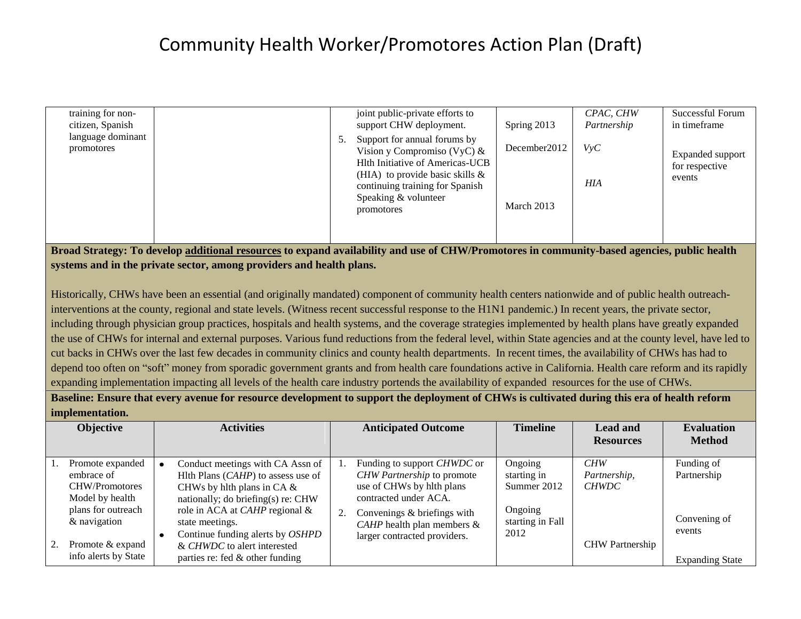| training for non-<br>citizen, Spanish |  | joint public-private efforts to<br>support CHW deployment.                                                                                                                                                       | Spring 2013                | CPAC, CHW<br>Partnership | Successful Forum<br>in timeframe                    |
|---------------------------------------|--|------------------------------------------------------------------------------------------------------------------------------------------------------------------------------------------------------------------|----------------------------|--------------------------|-----------------------------------------------------|
| language dominant<br>promotores       |  | Support for annual forums by<br>Vision y Compromiso (VyC) $\&$<br>Hlth Initiative of Americas-UCB<br>(HIA) to provide basic skills $\&$<br>continuing training for Spanish<br>Speaking & volunteer<br>promotores | December2012<br>March 2013 | VvC<br><b>HIA</b>        | <b>Expanded support</b><br>for respective<br>events |
|                                       |  |                                                                                                                                                                                                                  |                            |                          |                                                     |

**Broad Strategy: To develop additional resources to expand availability and use of CHW/Promotores in community-based agencies, public health systems and in the private sector, among providers and health plans.** 

Historically, CHWs have been an essential (and originally mandated) component of community health centers nationwide and of public health outreachinterventions at the county, regional and state levels. (Witness recent successful response to the H1N1 pandemic.) In recent years, the private sector, including through physician group practices, hospitals and health systems, and the coverage strategies implemented by health plans have greatly expanded the use of CHWs for internal and external purposes. Various fund reductions from the federal level, within State agencies and at the county level, have led to cut backs in CHWs over the last few decades in community clinics and county health departments. In recent times, the availability of CHWs has had to depend too often on "soft" money from sporadic government grants and from health care foundations active in California. Health care reform and its rapidly expanding implementation impacting all levels of the health care industry portends the availability of expanded resources for the use of CHWs.

**Baseline: Ensure that every avenue for resource development to support the deployment of CHWs is cultivated during this era of health reform implementation.** 

| <b>Objective</b>                         | <b>Activities</b>                                                                                  |    | <b>Anticipated Outcome</b>                                       | <b>Timeline</b>             | <b>Lead and</b><br><b>Resources</b> | <b>Evaluation</b><br><b>Method</b> |
|------------------------------------------|----------------------------------------------------------------------------------------------------|----|------------------------------------------------------------------|-----------------------------|-------------------------------------|------------------------------------|
| Promote expanded<br>embrace of           | Conduct meetings with CA Assn of<br>Hlth Plans $(CAHP)$ to assess use of                           |    | Funding to support <i>CHWDC</i> or<br>CHW Partnership to promote | Ongoing<br>starting in      | CHW<br>Partnership,                 | Funding of<br>Partnership          |
| CHW/Promotores<br>Model by health        | CHWs by hlth plans in CA $\&$<br>nationally; do briefing(s) re: CHW                                |    | use of CHWs by hlth plans<br>contracted under ACA.               | Summer 2012                 | <b>CHWDC</b>                        |                                    |
| plans for outreach<br>& navigation       | role in ACA at <i>CAHP</i> regional &<br>state meetings.                                           | 2. | Convenings & briefings with<br>CAHP health plan members $\&$     | Ongoing<br>starting in Fall |                                     | Convening of                       |
| Promote & expand<br>info alerts by State | Continue funding alerts by OSHPD<br>& CHWDC to alert interested<br>parties re: fed & other funding |    | larger contracted providers.                                     | 2012                        | <b>CHW</b> Partnership              | events<br><b>Expanding State</b>   |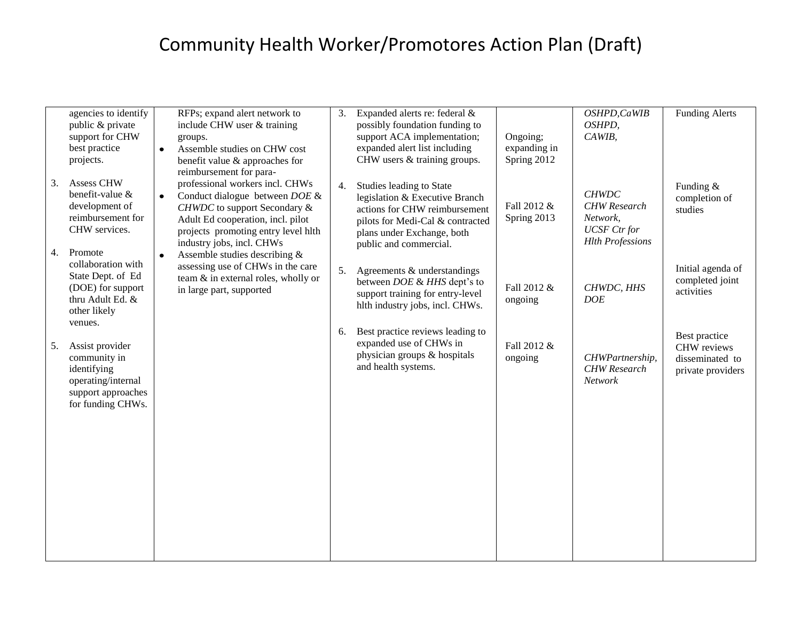|    | agencies to identify<br>public & private<br>support for CHW<br>best practice<br>projects.                       | $\bullet$ | RFPs; expand alert network to<br>include CHW user & training<br>groups.<br>Assemble studies on CHW cost<br>benefit value & approaches for                                                                                                      | 3. | Expanded alerts re: federal &<br>possibly foundation funding to<br>support ACA implementation;<br>expanded alert list including<br>CHW users & training groups.                         | Ongoing;<br>expanding in<br>Spring 2012 | OSHPD, CaWIB<br>OSHPD,<br>CAWIB,                                                                  | <b>Funding Alerts</b>                                                |
|----|-----------------------------------------------------------------------------------------------------------------|-----------|------------------------------------------------------------------------------------------------------------------------------------------------------------------------------------------------------------------------------------------------|----|-----------------------------------------------------------------------------------------------------------------------------------------------------------------------------------------|-----------------------------------------|---------------------------------------------------------------------------------------------------|----------------------------------------------------------------------|
| 3. | <b>Assess CHW</b><br>benefit-value &<br>development of<br>reimbursement for<br>CHW services.<br>Promote         | $\bullet$ | reimbursement for para-<br>professional workers incl. CHWs<br>Conduct dialogue between $DOE$ &<br><b>CHWDC</b> to support Secondary &<br>Adult Ed cooperation, incl. pilot<br>projects promoting entry level hlth<br>industry jobs, incl. CHWs | 4. | Studies leading to State<br>legislation & Executive Branch<br>actions for CHW reimbursement<br>pilots for Medi-Cal & contracted<br>plans under Exchange, both<br>public and commercial. | Fall 2012 &<br>Spring 2013              | <b>CHWDC</b><br><b>CHW</b> Research<br>Network,<br><b>UCSF</b> Ctr for<br><b>Hlth Professions</b> | Funding &<br>completion of<br>studies                                |
| 4. | collaboration with<br>State Dept. of Ed<br>(DOE) for support<br>thru Adult Ed. &<br>other likely<br>venues.     | $\bullet$ | Assemble studies describing &<br>assessing use of CHWs in the care<br>team & in external roles, wholly or<br>in large part, supported                                                                                                          | 5. | Agreements & understandings<br>between DOE & HHS dept's to<br>support training for entry-level<br>hlth industry jobs, incl. CHWs.                                                       | Fall 2012 &<br>ongoing                  | CHWDC, HHS<br><b>DOE</b>                                                                          | Initial agenda of<br>completed joint<br>activities                   |
| 5. | Assist provider<br>community in<br>identifying<br>operating/internal<br>support approaches<br>for funding CHWs. |           |                                                                                                                                                                                                                                                | 6. | Best practice reviews leading to<br>expanded use of CHWs in<br>physician groups & hospitals<br>and health systems.                                                                      | Fall 2012 &<br>ongoing                  | CHWPartnership,<br><b>CHW</b> Research<br><b>Network</b>                                          | Best practice<br>CHW reviews<br>disseminated to<br>private providers |
|    |                                                                                                                 |           |                                                                                                                                                                                                                                                |    |                                                                                                                                                                                         |                                         |                                                                                                   |                                                                      |
|    |                                                                                                                 |           |                                                                                                                                                                                                                                                |    |                                                                                                                                                                                         |                                         |                                                                                                   |                                                                      |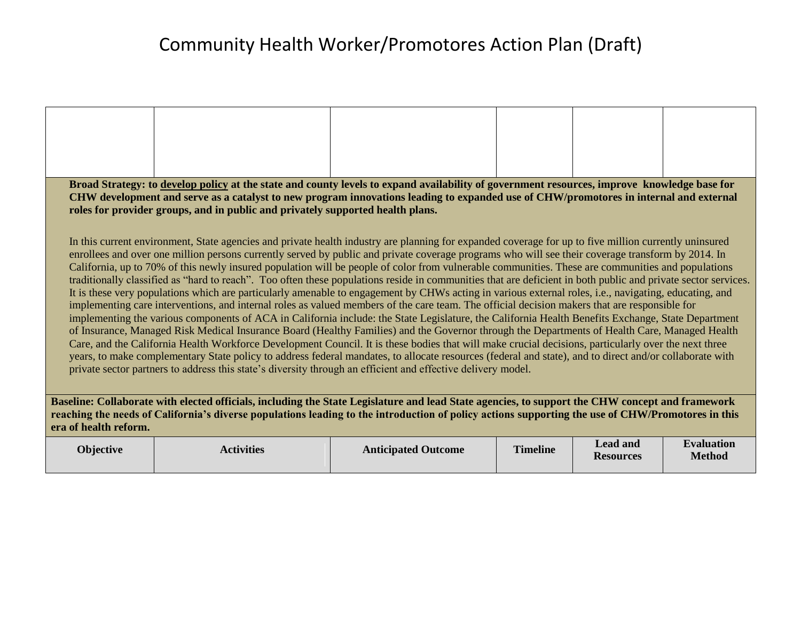|                                                                                                                                                   | Broad Strategy: to develop policy at the state and county levels to expand availability of government resources, improve knowledge base for                                                                                                                                                            |  |  |           |            |  |  |
|---------------------------------------------------------------------------------------------------------------------------------------------------|--------------------------------------------------------------------------------------------------------------------------------------------------------------------------------------------------------------------------------------------------------------------------------------------------------|--|--|-----------|------------|--|--|
|                                                                                                                                                   | CHW development and serve as a catalyst to new program innovations leading to expanded use of CHW/promotores in internal and external                                                                                                                                                                  |  |  |           |            |  |  |
|                                                                                                                                                   | roles for provider groups, and in public and privately supported health plans.                                                                                                                                                                                                                         |  |  |           |            |  |  |
|                                                                                                                                                   |                                                                                                                                                                                                                                                                                                        |  |  |           |            |  |  |
|                                                                                                                                                   | In this current environment, State agencies and private health industry are planning for expanded coverage for up to five million currently uninsured                                                                                                                                                  |  |  |           |            |  |  |
|                                                                                                                                                   | enrollees and over one million persons currently served by public and private coverage programs who will see their coverage transform by 2014. In<br>California, up to 70% of this newly insured population will be people of color from vulnerable communities. These are communities and populations |  |  |           |            |  |  |
|                                                                                                                                                   | traditionally classified as "hard to reach". Too often these populations reside in communities that are deficient in both public and private sector services.                                                                                                                                          |  |  |           |            |  |  |
|                                                                                                                                                   | It is these very populations which are particularly amenable to engagement by CHWs acting in various external roles, i.e., navigating, educating, and                                                                                                                                                  |  |  |           |            |  |  |
|                                                                                                                                                   | implementing care interventions, and internal roles as valued members of the care team. The official decision makers that are responsible for                                                                                                                                                          |  |  |           |            |  |  |
|                                                                                                                                                   | implementing the various components of ACA in California include: the State Legislature, the California Health Benefits Exchange, State Department                                                                                                                                                     |  |  |           |            |  |  |
|                                                                                                                                                   | of Insurance, Managed Risk Medical Insurance Board (Healthy Families) and the Governor through the Departments of Health Care, Managed Health<br>Care, and the California Health Workforce Development Council. It is these bodies that will make crucial decisions, particularly over the next three  |  |  |           |            |  |  |
|                                                                                                                                                   | years, to make complementary State policy to address federal mandates, to allocate resources (federal and state), and to direct and/or collaborate with                                                                                                                                                |  |  |           |            |  |  |
|                                                                                                                                                   | private sector partners to address this state's diversity through an efficient and effective delivery model.                                                                                                                                                                                           |  |  |           |            |  |  |
|                                                                                                                                                   |                                                                                                                                                                                                                                                                                                        |  |  |           |            |  |  |
| Baseline: Collaborate with elected officials, including the State Legislature and lead State agencies, to support the CHW concept and framework   |                                                                                                                                                                                                                                                                                                        |  |  |           |            |  |  |
| reaching the needs of California's diverse populations leading to the introduction of policy actions supporting the use of CHW/Promotores in this |                                                                                                                                                                                                                                                                                                        |  |  |           |            |  |  |
| era of health reform.                                                                                                                             |                                                                                                                                                                                                                                                                                                        |  |  |           |            |  |  |
|                                                                                                                                                   |                                                                                                                                                                                                                                                                                                        |  |  | hag hea I | Evaluation |  |  |

| <b>Objective</b> | <b>Activities</b> | <b>Anticipated Outcome</b> | <b>Timeline</b> | <b>Lead and</b><br><b>Resources</b> | <b>Evaluation</b><br><b>Method</b> |
|------------------|-------------------|----------------------------|-----------------|-------------------------------------|------------------------------------|
|------------------|-------------------|----------------------------|-----------------|-------------------------------------|------------------------------------|